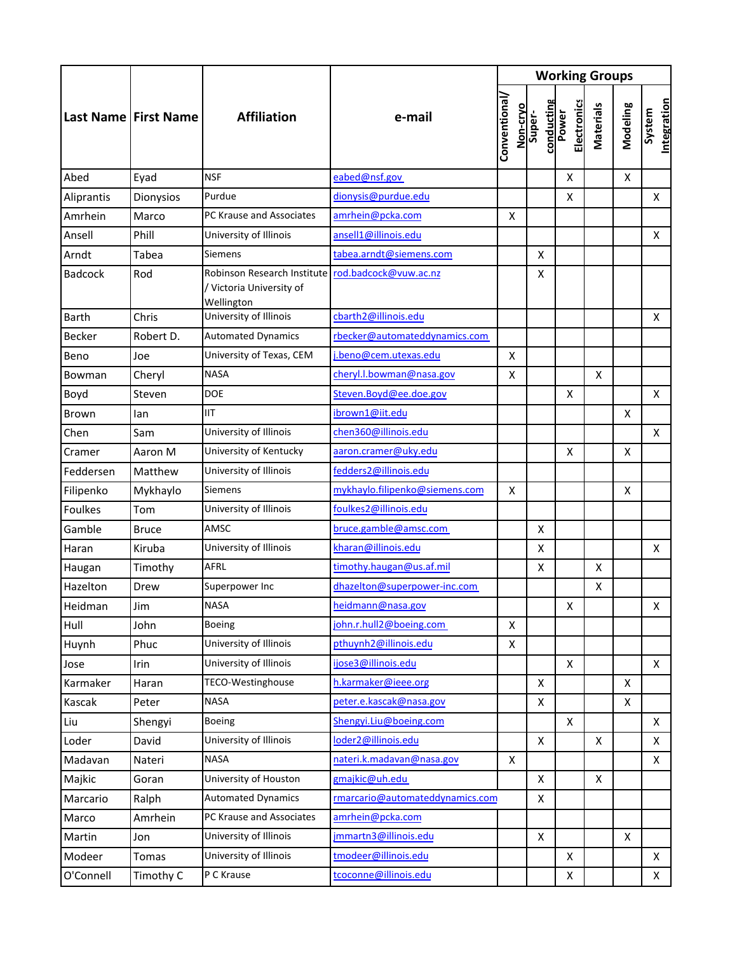|                | <b>Last Name   First Name</b> | <b>Affiliation</b>                                                                          | e-mail                          | <b>Working Groups</b> |          |                      |                             |                  |          |                       |  |
|----------------|-------------------------------|---------------------------------------------------------------------------------------------|---------------------------------|-----------------------|----------|----------------------|-----------------------------|------------------|----------|-----------------------|--|
|                |                               |                                                                                             |                                 | Conventional          | Non-cryo | conducting<br>Super- | <b>Electronics</b><br>Power | <b>Materials</b> | Modeling | Integration<br>System |  |
| Abed           | Eyad                          | <b>NSF</b>                                                                                  | eabed@nsf.gov                   |                       |          |                      | X                           |                  | X        |                       |  |
| Aliprantis     | Dionysios                     | Purdue                                                                                      | dionysis@purdue.edu             |                       |          |                      | Χ                           |                  |          | X                     |  |
| Amrhein        | Marco                         | PC Krause and Associates                                                                    | amrhein@pcka.com                | X                     |          |                      |                             |                  |          |                       |  |
| Ansell         | Phill                         | University of Illinois                                                                      | ansell1@illinois.edu            |                       |          |                      |                             |                  |          | X                     |  |
| Arndt          | Tabea                         | Siemens                                                                                     | tabea.arndt@siemens.com         |                       |          | X                    |                             |                  |          |                       |  |
| <b>Badcock</b> | Rod                           | Robinson Research Institute rod.badcock@vuw.ac.nz<br>/ Victoria University of<br>Wellington |                                 |                       |          | X                    |                             |                  |          |                       |  |
| <b>Barth</b>   | Chris                         | University of Illinois                                                                      | cbarth2@illinois.edu            |                       |          |                      |                             |                  |          | X                     |  |
| Becker         | Robert D.                     | <b>Automated Dynamics</b>                                                                   | rbecker@automateddynamics.com   |                       |          |                      |                             |                  |          |                       |  |
| Beno           | Joe                           | University of Texas, CEM                                                                    | i.beno@cem.utexas.edu           |                       | X        |                      |                             |                  |          |                       |  |
| Bowman         | Cheryl                        | <b>NASA</b>                                                                                 | cheryl.l.bowman@nasa.gov        | X                     |          |                      |                             | $\mathsf{x}$     |          |                       |  |
| Boyd           | Steven                        | <b>DOE</b>                                                                                  | Steven.Boyd@ee.doe.gov          |                       |          |                      | X                           |                  |          | X                     |  |
| Brown          | lan                           | <b>IIT</b>                                                                                  | ibrown1@iit.edu                 |                       |          |                      |                             |                  | X        |                       |  |
| Chen           | Sam                           | University of Illinois                                                                      | chen360@illinois.edu            |                       |          |                      |                             |                  |          | X                     |  |
| Cramer         | Aaron M                       | University of Kentucky                                                                      | aaron.cramer@uky.edu            |                       |          |                      | X                           |                  | X        |                       |  |
| Feddersen      | Matthew                       | University of Illinois                                                                      | fedders2@illinois.edu           |                       |          |                      |                             |                  |          |                       |  |
| Filipenko      | Mykhaylo                      | <b>Siemens</b>                                                                              | mykhaylo.filipenko@siemens.com  | X                     |          |                      |                             |                  | X        |                       |  |
| <b>Foulkes</b> | Tom                           | University of Illinois                                                                      | foulkes2@illinois.edu           |                       |          |                      |                             |                  |          |                       |  |
| Gamble         | <b>Bruce</b>                  | AMSC                                                                                        | bruce.gamble@amsc.com           |                       |          | X                    |                             |                  |          |                       |  |
| Haran          | Kiruba                        | University of Illinois                                                                      | kharan@illinois.edu             |                       |          | X                    |                             |                  |          | X                     |  |
| Haugan         | Timothy                       | AFRL                                                                                        | timothy.haugan@us.af.mil        |                       |          | X                    |                             | X                |          |                       |  |
| Hazelton       | Drew                          | Superpower Inc                                                                              | dhazelton@superpower-inc.com    |                       |          |                      |                             | X                |          |                       |  |
| Heidman        | Jim                           | <b>NASA</b>                                                                                 | heidmann@nasa.gov               |                       |          |                      | $\mathsf X$                 |                  |          | $\mathsf X$           |  |
| Hull           | John                          | <b>Boeing</b>                                                                               | john.r.hull2@boeing.com         |                       | X        |                      |                             |                  |          |                       |  |
| Huynh          | Phuc                          | University of Illinois                                                                      | pthuynh2@illinois.edu           |                       | X        |                      |                             |                  |          |                       |  |
| Jose           | Irin                          | University of Illinois                                                                      | ijose3@illinois.edu             |                       |          |                      | X                           |                  |          | X                     |  |
| Karmaker       | Haran                         | TECO-Westinghouse                                                                           | h.karmaker@ieee.org             |                       |          | X                    |                             |                  | X        |                       |  |
| Kascak         | Peter                         | NASA                                                                                        | peter.e. kascak@nasa.gov        |                       |          | X                    |                             |                  | X        |                       |  |
| Liu            | Shengyi                       | Boeing                                                                                      | Shengyi.Liu@boeing.com          |                       |          |                      | X                           |                  |          | X                     |  |
| Loder          | David                         | University of Illinois                                                                      | loder2@illinois.edu             |                       |          | X                    |                             | X                |          | X                     |  |
| Madavan        | Nateri                        | <b>NASA</b>                                                                                 | nateri.k.madavan@nasa.gov       |                       | X        |                      |                             |                  |          | X.                    |  |
| Majkic         | Goran                         | University of Houston                                                                       | gmajkic@uh.edu                  |                       |          | X                    |                             | X                |          |                       |  |
| Marcario       | Ralph                         | <b>Automated Dynamics</b>                                                                   | rmarcario@automateddynamics.com |                       |          | X                    |                             |                  |          |                       |  |
| Marco          | Amrhein                       | PC Krause and Associates                                                                    | amrhein@pcka.com                |                       |          |                      |                             |                  |          |                       |  |
| Martin         | Jon                           | University of Illinois                                                                      | jmmartn3@illinois.edu           |                       |          | X                    |                             |                  | X        |                       |  |
| Modeer         | Tomas                         | University of Illinois                                                                      | tmodeer@illinois.edu            |                       |          |                      | X                           |                  |          | X                     |  |
| O'Connell      | Timothy C                     | P C Krause                                                                                  | tcoconne@illinois.edu           |                       |          |                      | X                           |                  |          | X.                    |  |